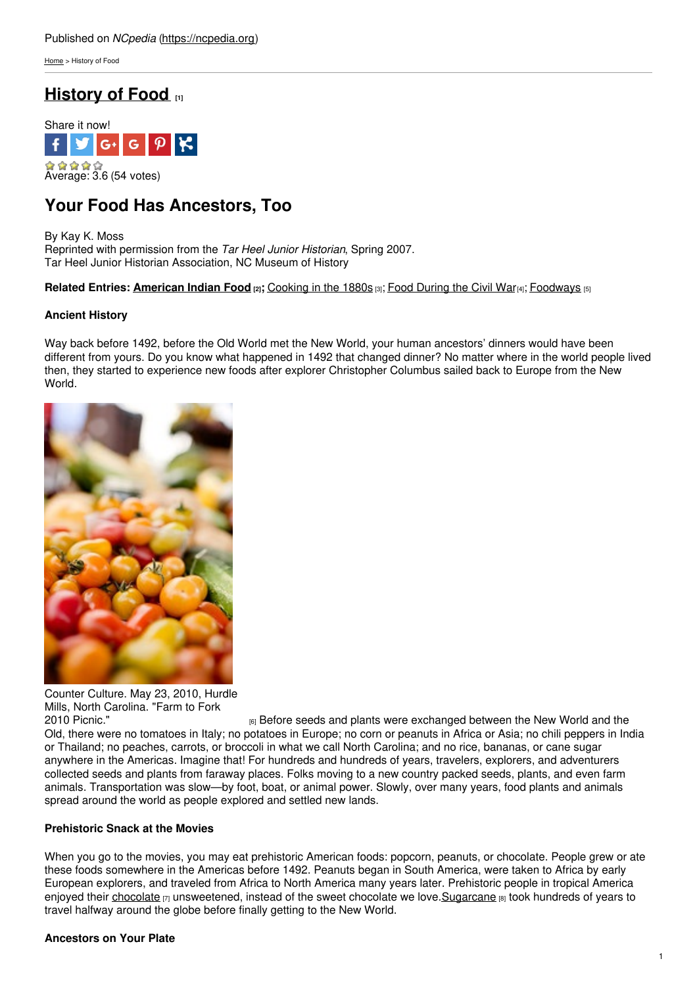[Home](https://ncpedia.org/) > History of Food

# **[History](https://ncpedia.org/culture/food/history-of-food) of Food [1]**



# **Your Food Has Ancestors, Too**

By Kay K. Moss Reprinted with permission from the *Tar Heel Junior Historian*, Spring 2007. Tar Heel Junior Historian Association, NC Museum of History

### **Related Entries: [American](https://ncpedia.org/culture/food/american-indian-food) Indian Food [2];** [Cooking](https://ncpedia.org/culture/food/cooking-in-the-1800s) in the 1880s [3]; Food [During](https://ncpedia.org/culture/food/food-during-civil-war) the Civil War[4]; [Foodways](https://ncpedia.org/culture/food/foodways) [5]

### **Ancient History**

Way back before 1492, before the Old World met the New World, your human ancestors' dinners would have been different from yours. Do you know what happened in 1492 that changed dinner? No matter where in the world people lived then, they started to experience new foods after explorer Christopher Columbus sailed back to Europe from the New World.



Counter Culture. May 23, 2010, Hurdle Mills, North Carolina. "Farm to Fork 2010 Picnic."

<sup>[6]</sup> Before seeds and plants were exchanged between the New World and the Old, there were no tomatoes in Italy; no potatoes in Europe; no corn or peanuts in Africa or Asia; no chili peppers in India or Thailand; no peaches, carrots, or broccoli in what we call North Carolina; and no rice, bananas, or cane sugar anywhere in the Americas. Imagine that! For hundreds and hundreds of years, travelers, explorers, and adventurers collected seeds and plants from faraway places. Folks moving to a new country packed seeds, plants, and even farm animals. Transportation was slow—by foot, boat, or animal power. Slowly, over many years, food plants and animals spread around the world as people explored and settled new lands.

#### **Prehistoric Snack at the Movies**

When you go to the movies, you may eat prehistoric American foods: popcorn, peanuts, or chocolate. People grew or ate these foods somewhere in the Americas before 1492. Peanuts began in South America, were taken to Africa by early European explorers, and traveled from Africa to North America many years later. Prehistoric people in tropical America enjoyed their [chocolate](http://archive.fieldmuseum.org/chocolate/history.html)  $\eta$  unsweetened, instead of the sweet chocolate we love. Sugarcane  $\theta$  took hundreds of years to travel halfway around the globe before finally getting to the New World.

#### **Ancestors on Your Plate**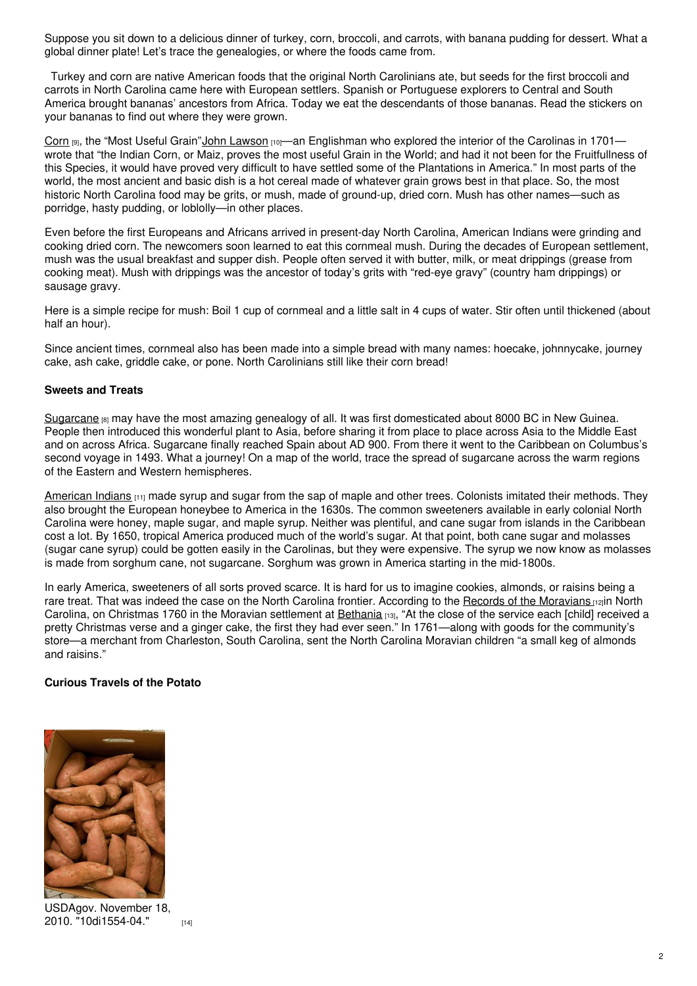Suppose you sit down to a delicious dinner of turkey, corn, broccoli, and carrots, with banana pudding for dessert. What a global dinner plate! Let's trace the genealogies, or where the foods came from.

Turkey and corn are native American foods that the original North Carolinians ate, but seeds for the first broccoli and carrots in North Carolina came here with European settlers. Spanish or Portuguese explorers to Central and South America brought bananas' ancestors from Africa. Today we eat the descendants of those bananas. Read the stickers on your bananas to find out where they were grown.

[Corn](http://www.freshforkids.com.au/veg_pages/corn/corn.html) [9], the "Most Useful Grain"John [Lawson](https://ncpedia.org/biography/lawson-john-0) [10]—an Englishman who explored the interior of the Carolinas in 1701– wrote that "the Indian Corn, or Maiz, proves the most useful Grain in the World; and had it not been for the Fruitfullness of this Species, it would have proved very difficult to have settled some of the Plantations in America." In most parts of the world, the most ancient and basic dish is a hot cereal made of whatever grain grows best in that place. So, the most historic North Carolina food may be grits, or mush, made of ground-up, dried corn. Mush has other names—such as porridge, hasty pudding, or loblolly—in other places.

Even before the first Europeans and Africans arrived in present-day North Carolina, American Indians were grinding and cooking dried corn. The newcomers soon learned to eat this cornmeal mush. During the decades of European settlement, mush was the usual breakfast and supper dish. People often served it with butter, milk, or meat drippings (grease from cooking meat). Mush with drippings was the ancestor of today's grits with "red-eye gravy" (country ham drippings) or sausage gravy.

Here is a simple recipe for mush: Boil 1 cup of cornmeal and a little salt in 4 cups of water. Stir often until thickened (about half an hour).

Since ancient times, cornmeal also has been made into a simple bread with many names: hoecake, johnnycake, journey cake, ash cake, griddle cake, or pone. North Carolinians still like their corn bread!

#### **Sweets and Treats**

[Sugarcane](http://www.livescience.com/4949-sugar-changed-world.html) <sup>[8]</sup> may have the most amazing genealogy of all. It was first domesticated about 8000 BC in New Guinea. People then introduced this wonderful plant to Asia, before sharing it from place to place across Asia to the Middle East and on across Africa. Sugarcane finally reached Spain about AD 900. From there it went to the Caribbean on Columbus's second voyage in 1493. What a journey! On a map of the world, trace the spread of sugarcane across the warm regions of the Eastern and Western hemispheres.

[American](http://www.archives.gov/research/arc/topics/native-americans/) Indians [11] made syrup and sugar from the sap of maple and other trees. Colonists imitated their methods. They also brought the European honeybee to America in the 1630s. The common sweeteners available in early colonial North Carolina were honey, maple sugar, and maple syrup. Neither was plentiful, and cane sugar from islands in the Caribbean cost a lot. By 1650, tropical America produced much of the world's sugar. At that point, both cane sugar and molasses (sugar cane syrup) could be gotten easily in the Carolinas, but they were expensive. The syrup we now know as molasses is made from sorghum cane, not sugarcane. Sorghum was grown in America starting in the mid-1800s.

In early America, sweeteners of all sorts proved scarce. It is hard for us to imagine cookies, almonds, or raisins being a rare treat. That was indeed the case on the North Carolina frontier. According to the Records of the [Moravians](https://ncpedia.org/moravians) [12]in North Carolina, on Christmas 1760 in the Moravian settlement at [Bethania](http://www.carolana.com/NC/Towns/Bethania_NC.html) [13], "At the close of the service each [child] received a pretty Christmas verse and a ginger cake, the first they had ever seen." In 1761—along with goods for the community's store—a merchant from Charleston, South Carolina, sent the North Carolina Moravian children "a small keg of almonds and raisins."

#### **Curious Travels of the Potato**



USDAgov. November 18, 2010. ["10di1554-04."](https://www.flickr.com/photos/usdagov/5216027139/) [14]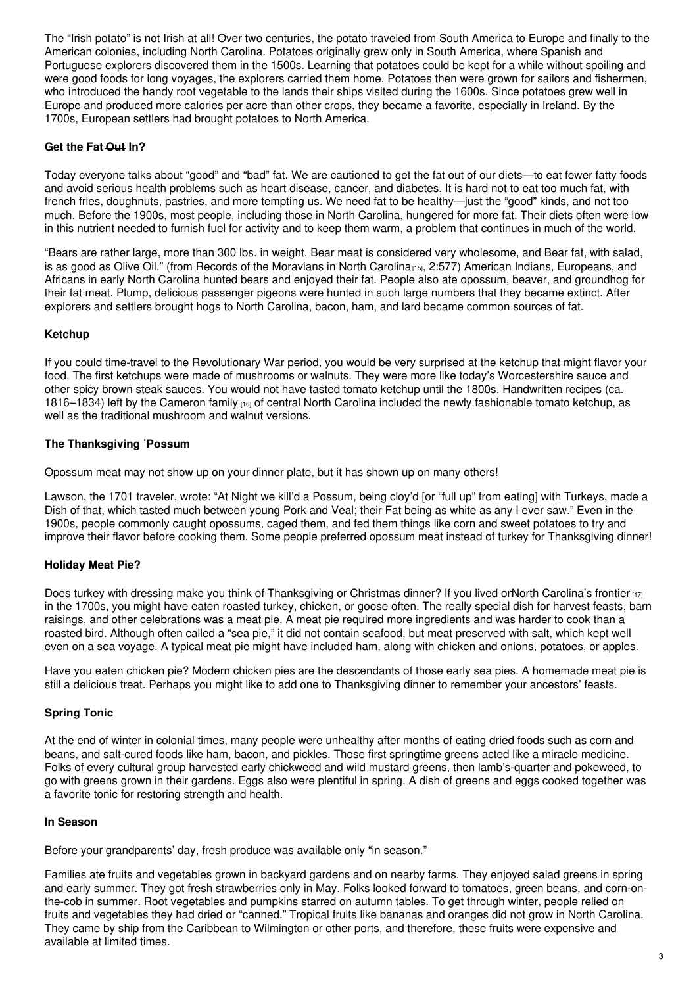The "Irish potato" is not Irish at all! Over two centuries, the potato traveled from South America to Europe and finally to the American colonies, including North Carolina. Potatoes originally grew only in South America, where Spanish and Portuguese explorers discovered them in the 1500s. Learning that potatoes could be kept for a while without spoiling and were good foods for long voyages, the explorers carried them home. Potatoes then were grown for sailors and fishermen, who introduced the handy root vegetable to the lands their ships visited during the 1600s. Since potatoes grew well in Europe and produced more calories per acre than other crops, they became a favorite, especially in Ireland. By the 1700s, European settlers had brought potatoes to North America.

## **Get the Fat Out In?**

Today everyone talks about "good" and "bad" fat. We are cautioned to get the fat out of our diets—to eat fewer fatty foods and avoid serious health problems such as heart disease, cancer, and diabetes. It is hard not to eat too much fat, with french fries, doughnuts, pastries, and more tempting us. We need fat to be healthy—just the "good" kinds, and not too much. Before the 1900s, most people, including those in North Carolina, hungered for more fat. Their diets often were low in this nutrient needed to furnish fuel for activity and to keep them warm, a problem that continues in much of the world.

"Bears are rather large, more than 300 lbs. in weight. Bear meat is considered very wholesome, and Bear fat, with salad, is as good as Olive Oil." (from Records of the [Moravians](http://www.ncpublications.com/documentaries/moravians.htm) in North Carolina<sub>[15]</sub>, 2:577) American Indians, Europeans, and Africans in early North Carolina hunted bears and enjoyed their fat. People also ate opossum, beaver, and groundhog for their fat meat. Plump, delicious passenger pigeons were hunted in such large numbers that they became extinct. After explorers and settlers brought hogs to North Carolina, bacon, ham, and lard became common sources of fat.

## **Ketchup**

If you could time-travel to the Revolutionary War period, you would be very surprised at the ketchup that might flavor your food. The first ketchups were made of mushrooms or walnuts. They were more like today's Worcestershire sauce and other spicy brown steak sauces. You would not have tasted tomato ketchup until the 1800s. Handwritten recipes (ca. 1816–1834) left by the [Cameron](http://www.lib.unc.edu/mss/inv/c/Cameron_Family.html) family [16] of central North Carolina included the newly fashionable tomato ketchup, as well as the traditional mushroom and walnut versions.

## **The Thanksgiving 'Possum**

Opossum meat may not show up on your dinner plate, but it has shown up on many others!

Lawson, the 1701 traveler, wrote: "At Night we kill'd a Possum, being cloy'd [or "full up" from eating] with Turkeys, made a Dish of that, which tasted much between young Pork and Veal; their Fat being as white as any I ever saw." Even in the 1900s, people commonly caught opossums, caged them, and fed them things like corn and sweet potatoes to try and improve their flavor before cooking them. Some people preferred opossum meat instead of turkey for Thanksgiving dinner!

## **Holiday Meat Pie?**

Does turkey with dressing make you think of Thanksgiving or Christmas dinner? If you lived orNorth [Carolina's](https://ncpedia.org/history/colonial/early-settlement) frontier [17] in the 1700s, you might have eaten roasted turkey, chicken, or goose often. The really special dish for harvest feasts, barn raisings, and other celebrations was a meat pie. A meat pie required more ingredients and was harder to cook than a roasted bird. Although often called a "sea pie," it did not contain seafood, but meat preserved with salt, which kept well even on a sea voyage. A typical meat pie might have included ham, along with chicken and onions, potatoes, or apples.

Have you eaten chicken pie? Modern chicken pies are the descendants of those early sea pies. A homemade meat pie is still a delicious treat. Perhaps you might like to add one to Thanksgiving dinner to remember your ancestors' feasts.

## **Spring Tonic**

At the end of winter in colonial times, many people were unhealthy after months of eating dried foods such as corn and beans, and salt-cured foods like ham, bacon, and pickles. Those first springtime greens acted like a miracle medicine. Folks of every cultural group harvested early chickweed and wild mustard greens, then lamb's-quarter and pokeweed, to go with greens grown in their gardens. Eggs also were plentiful in spring. A dish of greens and eggs cooked together was a favorite tonic for restoring strength and health.

## **In Season**

Before your grandparents' day, fresh produce was available only "in season."

Families ate fruits and vegetables grown in backyard gardens and on nearby farms. They enjoyed salad greens in spring and early summer. They got fresh strawberries only in May. Folks looked forward to tomatoes, green beans, and corn-onthe-cob in summer. Root vegetables and pumpkins starred on autumn tables. To get through winter, people relied on fruits and vegetables they had dried or "canned." Tropical fruits like bananas and oranges did not grow in North Carolina. They came by ship from the Caribbean to Wilmington or other ports, and therefore, these fruits were expensive and available at limited times.